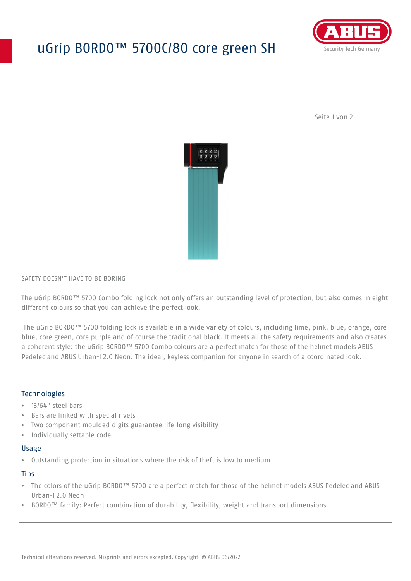# uGrip BORDO™ 5700C/80 core green SH



Seite 1 von 2



#### SAFETY DOESN'T HAVE TO BE BORING

The uGrip BORDO™ 5700 Combo folding lock not only offers an outstanding level of protection, but also comes in eight different colours so that you can achieve the perfect look.

 The uGrip BORDO™ 5700 folding lock is available in a wide variety of colours, including lime, pink, blue, orange, core blue, core green, core purple and of course the traditional black. It meets all the safety requirements and also creates a coherent style: the uGrip BORDO™ 5700 Combo colours are a perfect match for those of the helmet models ABUS Pedelec and ABUS Urban-I 2.0 Neon. The ideal, keyless companion for anyone in search of a coordinated look.

## Technologies

- 13/64" steel bars
- Bars are linked with special rivets
- Two component moulded digits guarantee life-long visibility
- Individually settable code

#### Usage

• Outstanding protection in situations where the risk of theft is low to medium

#### **Tips**

- The colors of the uGrip BORDO™ 5700 are a perfect match for those of the helmet models ABUS Pedelec and ABUS Urban-I 2.0 Neon
- BORDO™ family: Perfect combination of durability, flexibility, weight and transport dimensions